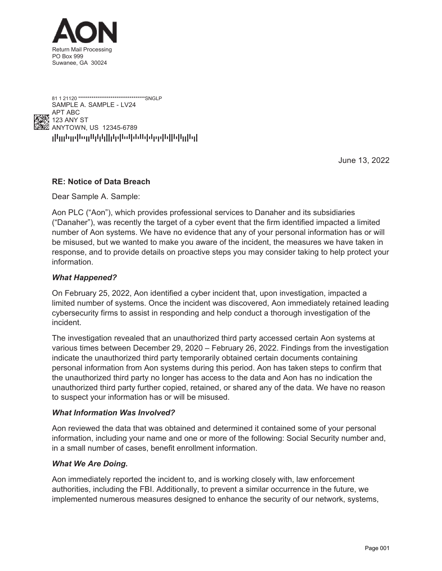



June 13, 2022

# **RE: Notice of Data Breach**

Dear Sample A. Sample:

Aon PLC ("Aon"), which provides professional services to Danaher and its subsidiaries ("Danaher"), was recently the target of a cyber event that the firm identified impacted a limited number of Aon systems. We have no evidence that any of your personal information has or will be misused, but we wanted to make you aware of the incident, the measures we have taken in response, and to provide details on proactive steps you may consider taking to help protect your information.

### *What Happened?*

On February 25, 2022, Aon identified a cyber incident that, upon investigation, impacted a limited number of systems. Once the incident was discovered, Aon immediately retained leading cybersecurity firms to assist in responding and help conduct a thorough investigation of the incident.

The investigation revealed that an unauthorized third party accessed certain Aon systems at various times between December 29, 2020 – February 26, 2022. Findings from the investigation indicate the unauthorized third party temporarily obtained certain documents containing personal information from Aon systems during this period. Aon has taken steps to confirm that the unauthorized third party no longer has access to the data and Aon has no indication the unauthorized third party further copied, retained, or shared any of the data. We have no reason to suspect your information has or will be misused.

### *What Information Was Involved?*

Aon reviewed the data that was obtained and determined it contained some of your personal information, including your name and one or more of the following: Social Security number and, in a small number of cases, benefit enrollment information.

### *What We Are Doing.*

Aon immediately reported the incident to, and is working closely with, law enforcement authorities, including the FBI. Additionally, to prevent a similar occurrence in the future, we implemented numerous measures designed to enhance the security of our network, systems,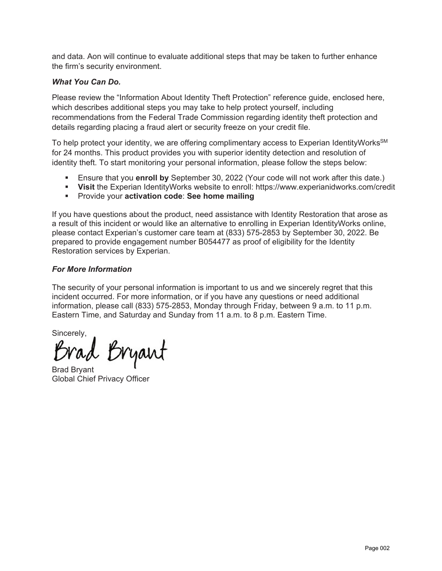and data. Aon will continue to evaluate additional steps that may be taken to further enhance the firm's security environment.

## *What You Can Do.*

Please review the "Information About Identity Theft Protection" reference guide, enclosed here, which describes additional steps you may take to help protect yourself, including recommendations from the Federal Trade Commission regarding identity theft protection and details regarding placing a fraud alert or security freeze on your credit file.

To help protect your identity, we are offering complimentary access to Experian IdentityWorks<sup>SM</sup> for 24 months. This product provides you with superior identity detection and resolution of identity theft. To start monitoring your personal information, please follow the steps below:

- Ensure that you **enroll by** September 30, 2022 (Your code will not work after this date.)
- **Visit** the Experian IdentityWorks website to enroll: https://www.experianidworks.com/credit
- **Provide your activation code: See home mailing**

If you have questions about the product, need assistance with Identity Restoration that arose as a result of this incident or would like an alternative to enrolling in Experian IdentityWorks online, please contact Experian's customer care team at (833) 575-2853 by September 30, 2022. Be prepared to provide engagement number B054477 as proof of eligibility for the Identity Restoration services by Experian.

## *For More Information*

The security of your personal information is important to us and we sincerely regret that this incident occurred. For more information, or if you have any questions or need additional information, please call (833) 575-2853, Monday through Friday, between 9 a.m. to 11 p.m. Eastern Time, and Saturday and Sunday from 11 a.m. to 8 p.m. Eastern Time.

Sincerely,<br>Brad Bryant

Brad Bryant Global Chief Privacy Officer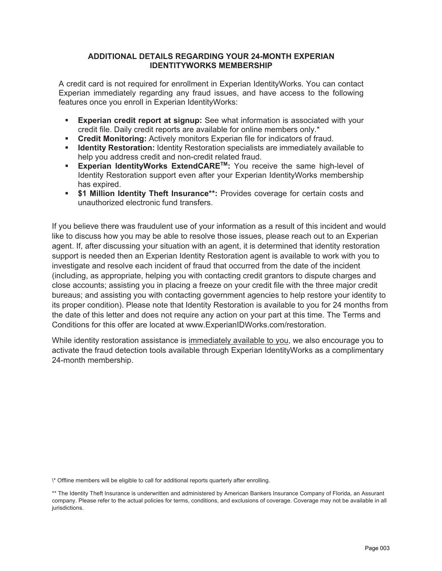## **ADDITIONAL DETAILS REGARDING YOUR 24-MONTH EXPERIAN IDENTITYWORKS MEMBERSHIP**

A credit card is not required for enrollment in Experian IdentityWorks. You can contact Experian immediately regarding any fraud issues, and have access to the following features once you enroll in Experian IdentityWorks:

- **Experian credit report at signup:** See what information is associated with your credit file. Daily credit reports are available for online members only.\*
- **Credit Monitoring:** Actively monitors Experian file for indicators of fraud.
- **IDED IS A Identity Restoration:** Identity Restoration specialists are immediately available to help you address credit and non-credit related fraud.
- **Experian IdentityWorks ExtendCARE<sup>TM</sup>:** You receive the same high-level of Identity Restoration support even after your Experian IdentityWorks membership has expired.
- **\$1 Million Identity Theft Insurance\*\*:** Provides coverage for certain costs and unauthorized electronic fund transfers.

If you believe there was fraudulent use of your information as a result of this incident and would like to discuss how you may be able to resolve those issues, please reach out to an Experian agent. If, after discussing your situation with an agent, it is determined that identity restoration support is needed then an Experian Identity Restoration agent is available to work with you to investigate and resolve each incident of fraud that occurred from the date of the incident (including, as appropriate, helping you with contacting credit grantors to dispute charges and close accounts; assisting you in placing a freeze on your credit file with the three major credit bureaus; and assisting you with contacting government agencies to help restore your identity to its proper condition). Please note that Identity Restoration is available to you for 24 months from the date of this letter and does not require any action on your part at this time. The Terms and Conditions for this offer are located at www.ExperianIDWorks.com/restoration.

While identity restoration assistance is immediately available to you, we also encourage you to activate the fraud detection tools available through Experian IdentityWorks as a complimentary 24-month membership.

<sup>\\*</sup> Offline members will be eligible to call for additional reports quarterly after enrolling.

<sup>\*\*</sup> The Identity Theft Insurance is underwritten and administered by American Bankers Insurance Company of Florida, an Assurant company. Please refer to the actual policies for terms, conditions, and exclusions of coverage. Coverage may not be available in all jurisdictions.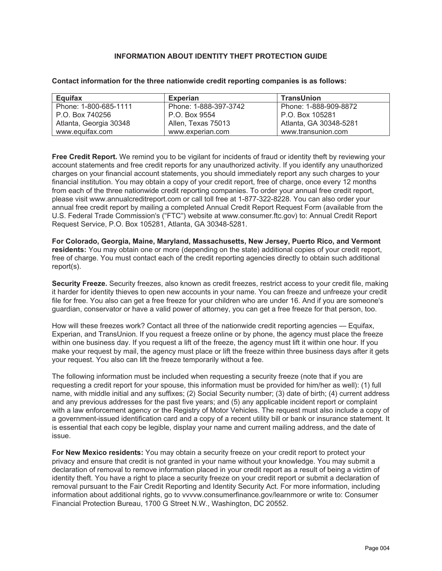#### **INFORMATION ABOUT IDENTITY THEFT PROTECTION GUIDE**

| Equifax                | <b>Experian</b>       | <b>TransUnion</b>      |
|------------------------|-----------------------|------------------------|
| Phone: 1-800-685-1111  | Phone: 1-888-397-3742 | Phone: 1-888-909-8872  |
| P.O. Box 740256        | P.O. Box 9554         | P.O. Box 105281        |
| Atlanta, Georgia 30348 | Allen, Texas 75013    | Atlanta, GA 30348-5281 |
| www.equifax.com        | www.experian.com      | www.transunion.com     |

#### **Contact information for the three nationwide credit reporting companies is as follows:**

**Free Credit Report.** We remind you to be vigilant for incidents of fraud or identity theft by reviewing your account statements and free credit reports for any unauthorized activity. If you identify any unauthorized charges on your financial account statements, you should immediately report any such charges to your financial institution. You may obtain a copy of your credit report, free of charge, once every 12 months from each of the three nationwide credit reporting companies. To order your annual free credit report, please visit www.annualcreditreport.com or call toll free at 1-877-322-8228. You can also order your annual free credit report by mailing a completed Annual Credit Report Request Form (available from the U.S. Federal Trade Commission's ("FTC") website at www.consumer.ftc.gov) to: Annual Credit Report Request Service, P.O. Box 105281, Atlanta, GA 30348-5281.

**For Colorado, Georgia, Maine, Maryland, Massachusetts, New Jersey, Puerto Rico, and Vermont residents:** You may obtain one or more (depending on the state) additional copies of your credit report, free of charge. You must contact each of the credit reporting agencies directly to obtain such additional report(s).

**Security Freeze.** Security freezes, also known as credit freezes, restrict access to your credit file, making it harder for identity thieves to open new accounts in your name. You can freeze and unfreeze your credit file for free. You also can get a free freeze for your children who are under 16. And if you are someone's guardian, conservator or have a valid power of attorney, you can get a free freeze for that person, too.

How will these freezes work? Contact all three of the nationwide credit reporting agencies — Equifax, Experian, and TransUnion. If you request a freeze online or by phone, the agency must place the freeze within one business day. If you request a lift of the freeze, the agency must lift it within one hour. If you make your request by mail, the agency must place or lift the freeze within three business days after it gets your request. You also can lift the freeze temporarily without a fee.

The following information must be included when requesting a security freeze (note that if you are requesting a credit report for your spouse, this information must be provided for him/her as well): (1) full name, with middle initial and any suffixes; (2) Social Security number; (3) date of birth; (4) current address and any previous addresses for the past five years; and (5) any applicable incident report or complaint with a law enforcement agency or the Registry of Motor Vehicles. The request must also include a copy of a government-issued identification card and a copy of a recent utility bill or bank or insurance statement. It is essential that each copy be legible, display your name and current mailing address, and the date of issue.

**For New Mexico residents:** You may obtain a security freeze on your credit report to protect your privacy and ensure that credit is not granted in your name without your knowledge. You may submit a declaration of removal to remove information placed in your credit report as a result of being a victim of identity theft. You have a right to place a security freeze on your credit report or submit a declaration of removal pursuant to the Fair Credit Reporting and Identity Security Act. For more information, including information about additional rights, go to vvvvw.consumerfinance.gov/learnmore or write to: Consumer Financial Protection Bureau, 1700 G Street N.W., Washington, DC 20552.